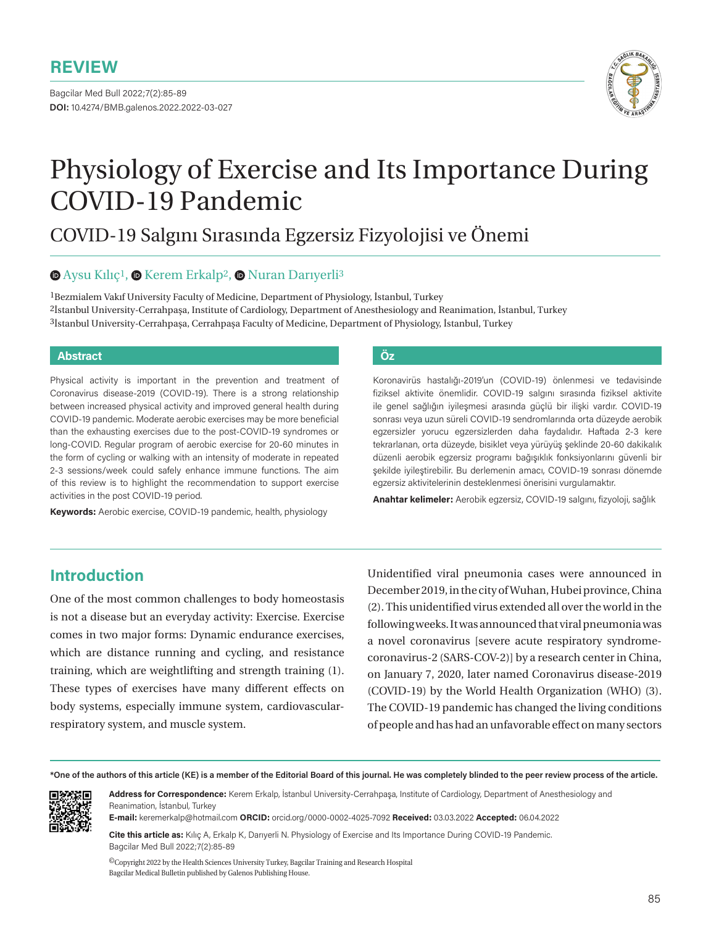

# Physiology of Exercise and Its Importance During COVID-19 Pandemic

## COVID-19 Salgını Sırasında Egzersiz Fizyolojisi ve Önemi

#### $\bullet$ **Aysu Kılıç<sup>1</sup>,**  $\bullet$  **Kerem Erkalp<sup>2</sup>,**  $\bullet$  **Nuran Darıyerli<sup>3</sup>**

1Bezmialem Vakıf University Faculty of Medicine, Department of Physiology, İstanbul, Turkey 2İstanbul University-Cerrahpaşa, Institute of Cardiology, Department of Anesthesiology and Reanimation, İstanbul, Turkey 3İstanbul University-Cerrahpaşa, Cerrahpaşa Faculty of Medicine, Department of Physiology, İstanbul, Turkey

#### **Abstract Öz**

Physical activity is important in the prevention and treatment of Coronavirus disease-2019 (COVID-19). There is a strong relationship between increased physical activity and improved general health during COVID-19 pandemic. Moderate aerobic exercises may be more beneficial than the exhausting exercises due to the post-COVID-19 syndromes or long-COVID. Regular program of aerobic exercise for 20-60 minutes in the form of cycling or walking with an intensity of moderate in repeated 2-3 sessions/week could safely enhance immune functions. The aim of this review is to highlight the recommendation to support exercise activities in the post COVID-19 period.

**Keywords:** Aerobic exercise, COVID-19 pandemic, health, physiology

Koronavirüs hastalığı-2019'un (COVID-19) önlenmesi ve tedavisinde fiziksel aktivite önemlidir. COVID-19 salgını sırasında fiziksel aktivite ile genel sağlığın iyileşmesi arasında güçlü bir ilişki vardır. COVID-19 sonrası veya uzun süreli COVID-19 sendromlarında orta düzeyde aerobik egzersizler yorucu egzersizlerden daha faydalıdır. Haftada 2-3 kere tekrarlanan, orta düzeyde, bisiklet veya yürüyüş şeklinde 20-60 dakikalık düzenli aerobik egzersiz programı bağışıklık fonksiyonlarını güvenli bir şekilde iyileştirebilir. Bu derlemenin amacı, COVID-19 sonrası dönemde egzersiz aktivitelerinin desteklenmesi önerisini vurgulamaktır.

**Anahtar kelimeler:** Aerobik egzersiz, COVID-19 salgını, fizyoloji, sağlık

### **Introduction**

回路线回

One of the most common challenges to body homeostasis is not a disease but an everyday activity: Exercise. Exercise comes in two major forms: Dynamic endurance exercises, which are distance running and cycling, and resistance training, which are weightlifting and strength training (1). These types of exercises have many different effects on body systems, especially immune system, cardiovascularrespiratory system, and muscle system.

Unidentified viral pneumonia cases were announced in December 2019, in the city of Wuhan, Hubei province, China (2). This unidentified virus extended all over the world in the following weeks. It was announced that viral pneumonia was a novel coronavirus [severe acute respiratory syndromecoronavirus-2 (SARS-COV-2)] by a research center in China, on January 7, 2020, later named Coronavirus disease-2019 (COVID-19) by the World Health Organization (WHO) (3). The COVID-19 pandemic has changed the living conditions of people and has had an unfavorable effect on many sectors

**\*One of the authors of this article (KE) is a member of the Editorial Board of this journal. He was completely blinded to the peer review process of the article.**

**Address for Correspondence:** Kerem Erkalp, İstanbul University-Cerrahpaşa, Institute of Cardiology, Department of Anesthesiology and Reanimation, İstanbul, Turkey

**E-mail:** keremerkalp@hotmail.com **ORCID:** orcid.org/0000-0002-4025-7092 **Received:** 03.03.2022 **Accepted:** 06.04.2022

**Cite this article as:** Kılıç A, Erkalp K, Darıyerli N. Physiology of Exercise and Its Importance During COVID-19 Pandemic. Bagcilar Med Bull 2022;7(2):85-89

 ${}^{{\textcircled{\tiny 1}}}$ Copyright 2022 by the Health Sciences University Turkey, Bagcilar Training and Research Hospital Bagcilar Medical Bulletin published by Galenos Publishing House.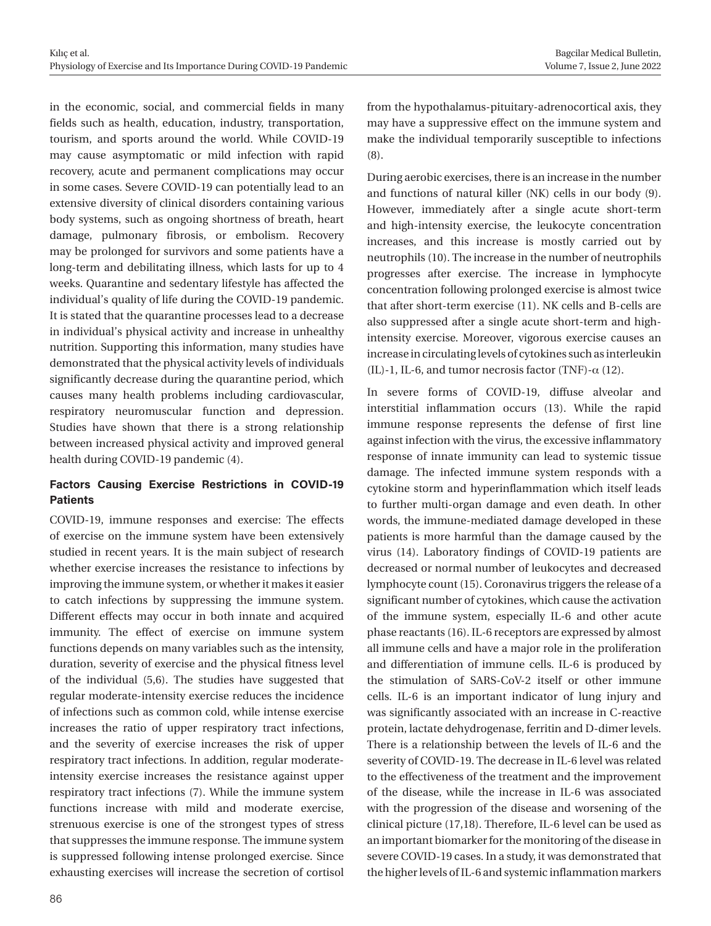in the economic, social, and commercial fields in many fields such as health, education, industry, transportation, tourism, and sports around the world. While COVID-19 may cause asymptomatic or mild infection with rapid recovery, acute and permanent complications may occur in some cases. Severe COVID-19 can potentially lead to an extensive diversity of clinical disorders containing various body systems, such as ongoing shortness of breath, heart damage, pulmonary fibrosis, or embolism. Recovery may be prolonged for survivors and some patients have a long-term and debilitating illness, which lasts for up to 4 weeks. Quarantine and sedentary lifestyle has affected the individual's quality of life during the COVID-19 pandemic. It is stated that the quarantine processes lead to a decrease in individual's physical activity and increase in unhealthy nutrition. Supporting this information, many studies have demonstrated that the physical activity levels of individuals significantly decrease during the quarantine period, which causes many health problems including cardiovascular, respiratory neuromuscular function and depression. Studies have shown that there is a strong relationship between increased physical activity and improved general health during COVID-19 pandemic (4).

#### **Factors Causing Exercise Restrictions in COVID-19 Patients**

COVID-19, immune responses and exercise: The effects of exercise on the immune system have been extensively studied in recent years. It is the main subject of research whether exercise increases the resistance to infections by improving the immune system, or whether it makes it easier to catch infections by suppressing the immune system. Different effects may occur in both innate and acquired immunity. The effect of exercise on immune system functions depends on many variables such as the intensity, duration, severity of exercise and the physical fitness level of the individual (5,6). The studies have suggested that regular moderate-intensity exercise reduces the incidence of infections such as common cold, while intense exercise increases the ratio of upper respiratory tract infections, and the severity of exercise increases the risk of upper respiratory tract infections. In addition, regular moderateintensity exercise increases the resistance against upper respiratory tract infections (7). While the immune system functions increase with mild and moderate exercise, strenuous exercise is one of the strongest types of stress that suppresses the immune response. The immune system is suppressed following intense prolonged exercise. Since exhausting exercises will increase the secretion of cortisol

from the hypothalamus-pituitary-adrenocortical axis, they may have a suppressive effect on the immune system and make the individual temporarily susceptible to infections (8).

During aerobic exercises, there is an increase in the number and functions of natural killer (NK) cells in our body (9). However, immediately after a single acute short-term and high-intensity exercise, the leukocyte concentration increases, and this increase is mostly carried out by neutrophils (10). The increase in the number of neutrophils progresses after exercise. The increase in lymphocyte concentration following prolonged exercise is almost twice that after short-term exercise (11). NK cells and B-cells are also suppressed after a single acute short-term and highintensity exercise. Moreover, vigorous exercise causes an increase in circulating levels of cytokines such as interleukin (IL)-1, IL-6, and tumor necrosis factor (TNF)- $\alpha$  (12).

In severe forms of COVID-19, diffuse alveolar and interstitial inflammation occurs (13). While the rapid immune response represents the defense of first line against infection with the virus, the excessive inflammatory response of innate immunity can lead to systemic tissue damage. The infected immune system responds with a cytokine storm and hyperinflammation which itself leads to further multi-organ damage and even death. In other words, the immune-mediated damage developed in these patients is more harmful than the damage caused by the virus (14). Laboratory findings of COVID-19 patients are decreased or normal number of leukocytes and decreased lymphocyte count (15). Coronavirus triggers the release of a significant number of cytokines, which cause the activation of the immune system, especially IL-6 and other acute phase reactants (16). IL-6 receptors are expressed by almost all immune cells and have a major role in the proliferation and differentiation of immune cells. IL-6 is produced by the stimulation of SARS-CoV-2 itself or other immune cells. IL-6 is an important indicator of lung injury and was significantly associated with an increase in C-reactive protein, lactate dehydrogenase, ferritin and D-dimer levels. There is a relationship between the levels of IL-6 and the severity of COVID-19. The decrease in IL-6 level was related to the effectiveness of the treatment and the improvement of the disease, while the increase in IL-6 was associated with the progression of the disease and worsening of the clinical picture (17,18). Therefore, IL-6 level can be used as an important biomarker for the monitoring of the disease in severe COVID-19 cases. In a study, it was demonstrated that the higher levels of IL-6 and systemic inflammation markers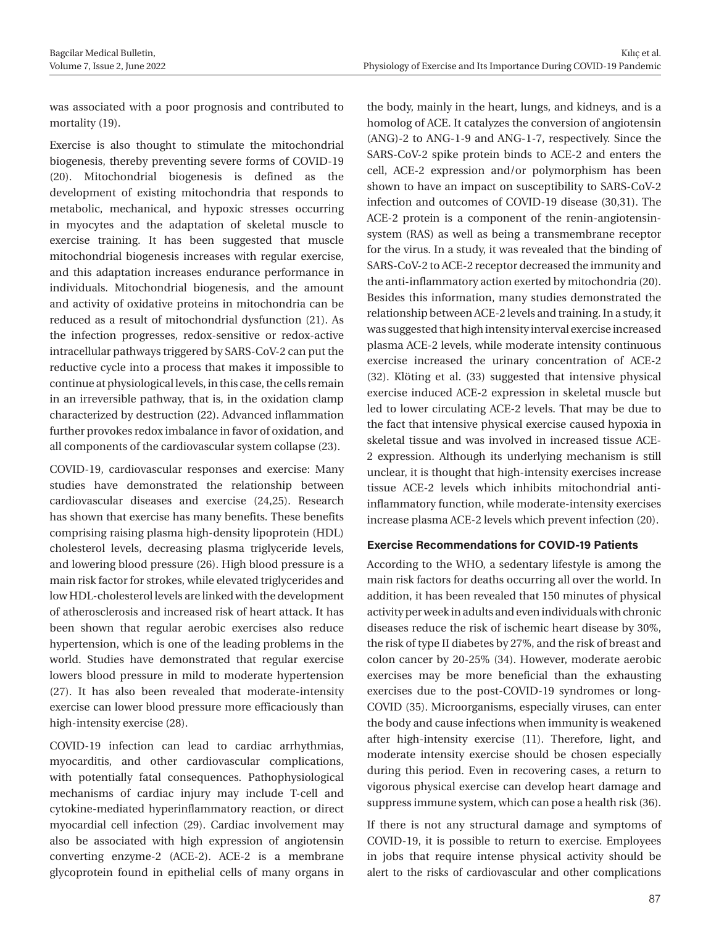was associated with a poor prognosis and contributed to mortality (19).

Exercise is also thought to stimulate the mitochondrial biogenesis, thereby preventing severe forms of COVID-19 (20). Mitochondrial biogenesis is defined as the development of existing mitochondria that responds to metabolic, mechanical, and hypoxic stresses occurring in myocytes and the adaptation of skeletal muscle to exercise training. It has been suggested that muscle mitochondrial biogenesis increases with regular exercise, and this adaptation increases endurance performance in individuals. Mitochondrial biogenesis, and the amount and activity of oxidative proteins in mitochondria can be reduced as a result of mitochondrial dysfunction (21). As the infection progresses, redox-sensitive or redox-active intracellular pathways triggered by SARS-CoV-2 can put the reductive cycle into a process that makes it impossible to continue at physiological levels, in this case, the cells remain in an irreversible pathway, that is, in the oxidation clamp characterized by destruction (22). Advanced inflammation further provokes redox imbalance in favor of oxidation, and all components of the cardiovascular system collapse (23).

COVID-19, cardiovascular responses and exercise: Many studies have demonstrated the relationship between cardiovascular diseases and exercise (24,25). Research has shown that exercise has many benefits. These benefits comprising raising plasma high-density lipoprotein (HDL) cholesterol levels, decreasing plasma triglyceride levels, and lowering blood pressure (26). High blood pressure is a main risk factor for strokes, while elevated triglycerides and low HDL-cholesterol levels are linked with the development of atherosclerosis and increased risk of heart attack. It has been shown that regular aerobic exercises also reduce hypertension, which is one of the leading problems in the world. Studies have demonstrated that regular exercise lowers blood pressure in mild to moderate hypertension (27). It has also been revealed that moderate-intensity exercise can lower blood pressure more efficaciously than high-intensity exercise (28).

COVID-19 infection can lead to cardiac arrhythmias, myocarditis, and other cardiovascular complications, with potentially fatal consequences. Pathophysiological mechanisms of cardiac injury may include T-cell and cytokine-mediated hyperinflammatory reaction, or direct myocardial cell infection (29). Cardiac involvement may also be associated with high expression of angiotensin converting enzyme-2 (ACE-2). ACE-2 is a membrane glycoprotein found in epithelial cells of many organs in

the body, mainly in the heart, lungs, and kidneys, and is a homolog of ACE. It catalyzes the conversion of angiotensin (ANG)-2 to ANG-1-9 and ANG-1-7, respectively. Since the SARS-CoV-2 spike protein binds to ACE-2 and enters the cell, ACE-2 expression and/or polymorphism has been shown to have an impact on susceptibility to SARS-CoV-2 infection and outcomes of COVID-19 disease (30,31). The ACE-2 protein is a component of the renin-angiotensinsystem (RAS) as well as being a transmembrane receptor for the virus. In a study, it was revealed that the binding of SARS-CoV-2 to ACE-2 receptor decreased the immunity and the anti-inflammatory action exerted by mitochondria (20). Besides this information, many studies demonstrated the relationship between ACE-2 levels and training. In a study, it was suggested that high intensity interval exercise increased plasma ACE-2 levels, while moderate intensity continuous exercise increased the urinary concentration of ACE-2 (32). Klöting et al. (33) suggested that intensive physical exercise induced ACE-2 expression in skeletal muscle but led to lower circulating ACE-2 levels. That may be due to the fact that intensive physical exercise caused hypoxia in skeletal tissue and was involved in increased tissue ACE-2 expression. Although its underlying mechanism is still unclear, it is thought that high-intensity exercises increase tissue ACE-2 levels which inhibits mitochondrial antiinflammatory function, while moderate-intensity exercises increase plasma ACE-2 levels which prevent infection (20).

#### **Exercise Recommendations for COVID-19 Patients**

According to the WHO, a sedentary lifestyle is among the main risk factors for deaths occurring all over the world. In addition, it has been revealed that 150 minutes of physical activity per week in adults and even individuals with chronic diseases reduce the risk of ischemic heart disease by 30%, the risk of type II diabetes by 27%, and the risk of breast and colon cancer by 20-25% (34). However, moderate aerobic exercises may be more beneficial than the exhausting exercises due to the post-COVID-19 syndromes or long-COVID (35). Microorganisms, especially viruses, can enter the body and cause infections when immunity is weakened after high-intensity exercise (11). Therefore, light, and moderate intensity exercise should be chosen especially during this period. Even in recovering cases, a return to vigorous physical exercise can develop heart damage and suppress immune system, which can pose a health risk (36).

If there is not any structural damage and symptoms of COVID-19, it is possible to return to exercise. Employees in jobs that require intense physical activity should be alert to the risks of cardiovascular and other complications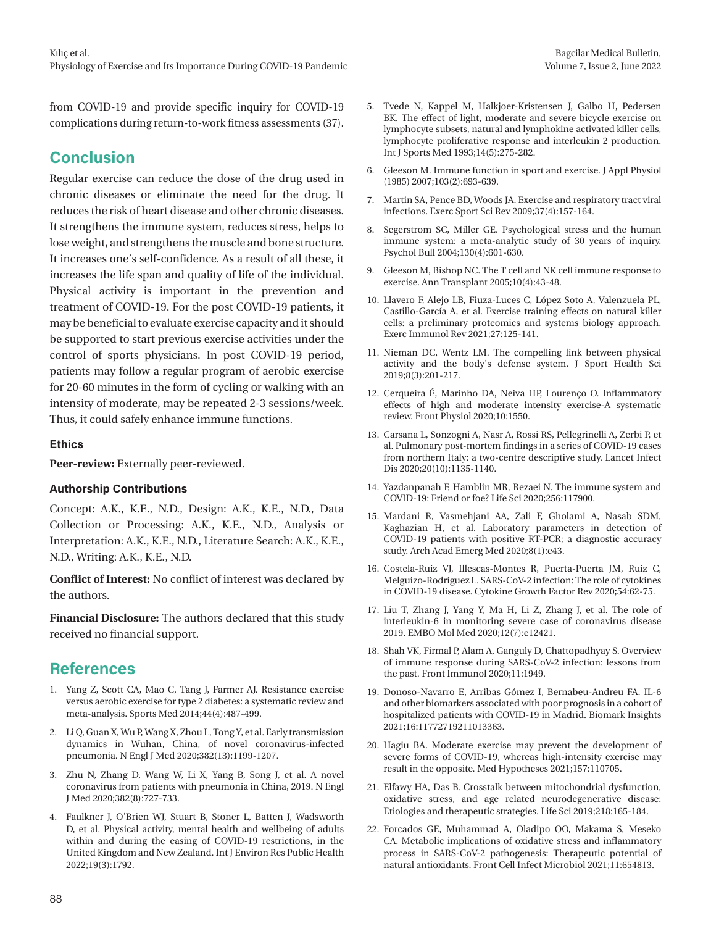from COVID-19 and provide specific inquiry for COVID-19 complications during return-to-work fitness assessments (37).

#### **Conclusion**

Regular exercise can reduce the dose of the drug used in chronic diseases or eliminate the need for the drug. It reduces the risk of heart disease and other chronic diseases. It strengthens the immune system, reduces stress, helps to lose weight, and strengthens the muscle and bone structure. It increases one's self-confidence. As a result of all these, it increases the life span and quality of life of the individual. Physical activity is important in the prevention and treatment of COVID-19. For the post COVID-19 patients, it may be beneficial to evaluate exercise capacity and it should be supported to start previous exercise activities under the control of sports physicians. In post COVID-19 period, patients may follow a regular program of aerobic exercise for 20-60 minutes in the form of cycling or walking with an intensity of moderate, may be repeated 2-3 sessions/week. Thus, it could safely enhance immune functions.

#### **Ethics**

**Peer-review:** Externally peer-reviewed.

#### **Authorship Contributions**

Concept: A.K., K.E., N.D., Design: A.K., K.E., N.D., Data Collection or Processing: A.K., K.E., N.D., Analysis or Interpretation: A.K., K.E., N.D., Literature Search: A.K., K.E., N.D., Writing: A.K., K.E., N.D.

**Conflict of Interest:** No conflict of interest was declared by the authors.

**Financial Disclosure:** The authors declared that this study received no financial support.

#### **References**

- 1. Yang Z, Scott CA, Mao C, Tang J, Farmer AJ. Resistance exercise versus aerobic exercise for type 2 diabetes: a systematic review and meta-analysis. Sports Med 2014;44(4):487-499.
- 2. Li Q, Guan X, Wu P, Wang X, Zhou L, Tong Y, et al. Early transmission dynamics in Wuhan, China, of novel coronavirus-infected pneumonia. N Engl J Med 2020;382(13):1199-1207.
- 3. Zhu N, Zhang D, Wang W, Li X, Yang B, Song J, et al. A novel coronavirus from patients with pneumonia in China, 2019. N Engl J Med 2020;382(8):727-733.
- 4. Faulkner J, O'Brien WJ, Stuart B, Stoner L, Batten J, Wadsworth D, et al. Physical activity, mental health and wellbeing of adults within and during the easing of COVID-19 restrictions, in the United Kingdom and New Zealand. Int J Environ Res Public Health 2022;19(3):1792.
- 5. Tvede N, Kappel M, Halkjoer-Kristensen J, Galbo H, Pedersen BK. The effect of light, moderate and severe bicycle exercise on lymphocyte subsets, natural and lymphokine activated killer cells, lymphocyte proliferative response and interleukin 2 production. Int J Sports Med 1993;14(5):275-282.
- 6. Gleeson M. Immune function in sport and exercise. J Appl Physiol (1985) 2007;103(2):693-639.
- 7. Martin SA, Pence BD, Woods JA. Exercise and respiratory tract viral infections. Exerc Sport Sci Rev 2009;37(4):157-164.
- 8. Segerstrom SC, Miller GE. Psychological stress and the human immune system: a meta-analytic study of 30 years of inquiry. Psychol Bull 2004;130(4):601-630.
- 9. Gleeson M, Bishop NC. The T cell and NK cell immune response to exercise. Ann Transplant 2005;10(4):43-48.
- 10. Llavero F, Alejo LB, Fiuza-Luces C, López Soto A, Valenzuela PL, Castillo-García A, et al. Exercise training effects on natural killer cells: a preliminary proteomics and systems biology approach. Exerc Immunol Rev 2021;27:125-141.
- 11. Nieman DC, Wentz LM. The compelling link between physical activity and the body's defense system. J Sport Health Sci 2019;8(3):201-217.
- 12. Cerqueira É, Marinho DA, Neiva HP, Lourenço O. Inflammatory effects of high and moderate intensity exercise-A systematic review. Front Physiol 2020;10:1550.
- 13. Carsana L, Sonzogni A, Nasr A, Rossi RS, Pellegrinelli A, Zerbi P, et al. Pulmonary post-mortem findings in a series of COVID-19 cases from northern Italy: a two-centre descriptive study. Lancet Infect Dis 2020;20(10):1135-1140.
- 14. Yazdanpanah F, Hamblin MR, Rezaei N. The immune system and COVID-19: Friend or foe? Life Sci 2020;256:117900.
- 15. Mardani R, Vasmehjani AA, Zali F, Gholami A, Nasab SDM, Kaghazian H, et al. Laboratory parameters in detection of COVID-19 patients with positive RT-PCR; a diagnostic accuracy study. Arch Acad Emerg Med 2020;8(1):e43.
- 16. Costela-Ruiz VJ, Illescas-Montes R, Puerta-Puerta JM, Ruiz C, Melguizo-Rodríguez L. SARS-CoV-2 infection: The role of cytokines in COVID-19 disease. Cytokine Growth Factor Rev 2020;54:62-75.
- 17. Liu T, Zhang J, Yang Y, Ma H, Li Z, Zhang J, et al. The role of interleukin-6 in monitoring severe case of coronavirus disease 2019. EMBO Mol Med 2020;12(7):e12421.
- 18. Shah VK, Firmal P, Alam A, Ganguly D, Chattopadhyay S. Overview of immune response during SARS-CoV-2 infection: lessons from the past. Front Immunol 2020;11:1949.
- 19. Donoso-Navarro E, Arribas Gómez I, Bernabeu-Andreu FA. IL-6 and other biomarkers associated with poor prognosis in a cohort of hospitalized patients with COVID-19 in Madrid. Biomark Insights 2021;16:11772719211013363.
- 20. Hagiu BA. Moderate exercise may prevent the development of severe forms of COVID-19, whereas high-intensity exercise may result in the opposite. Med Hypotheses 2021;157:110705.
- 21. Elfawy HA, Das B. Crosstalk between mitochondrial dysfunction, oxidative stress, and age related neurodegenerative disease: Etiologies and therapeutic strategies. Life Sci 2019;218:165-184.
- 22. Forcados GE, Muhammad A, Oladipo OO, Makama S, Meseko CA. Metabolic implications of oxidative stress and inflammatory process in SARS-CoV-2 pathogenesis: Therapeutic potential of natural antioxidants. Front Cell Infect Microbiol 2021;11:654813.